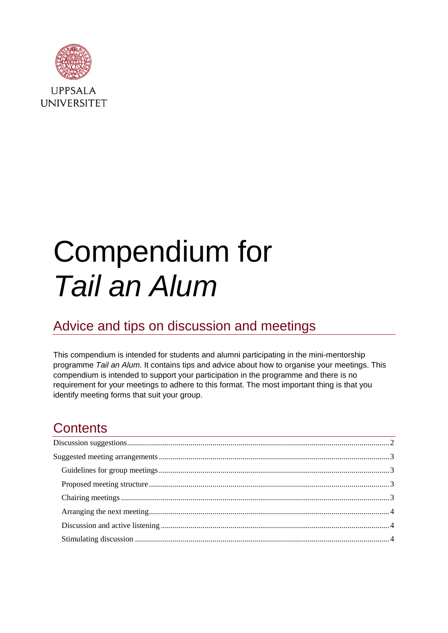

**UPPSALA UNIVERSITET** 

# Compendium for *Tail an Alum*

# Advice and tips on discussion and meetings

This compendium is intended for students and alumni participating in the mini-mentorship programme *Tail an Alum*. It contains tips and advice about how to organise your meetings. This compendium is intended to support your participation in the programme and there is no requirement for your meetings to adhere to this format. The most important thing is that you identify meeting forms that suit your group.

# **Contents**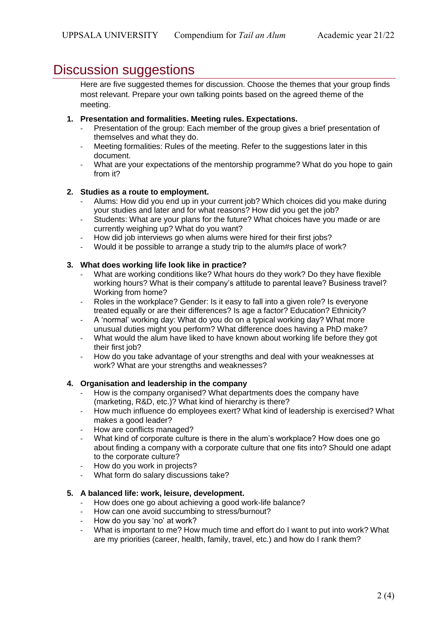# <span id="page-1-0"></span>Discussion suggestions

Here are five suggested themes for discussion. Choose the themes that your group finds most relevant. Prepare your own talking points based on the agreed theme of the meeting.

#### **1. Presentation and formalities. Meeting rules. Expectations.**

- Presentation of the group: Each member of the group gives a brief presentation of themselves and what they do.
- Meeting formalities: Rules of the meeting. Refer to the suggestions later in this document.
- What are your expectations of the mentorship programme? What do you hope to gain from it?

#### **2. Studies as a route to employment.**

- Alums: How did you end up in your current job? Which choices did you make during your studies and later and for what reasons? How did you get the job?
- Students: What are your plans for the future? What choices have you made or are currently weighing up? What do you want?
- How did job interviews go when alums were hired for their first jobs?
- Would it be possible to arrange a study trip to the alum#s place of work?

#### **3. What does working life look like in practice?**

- What are working conditions like? What hours do they work? Do they have flexible working hours? What is their company's attitude to parental leave? Business travel? Working from home?
- Roles in the workplace? Gender: Is it easy to fall into a given role? Is everyone treated equally or are their differences? Is age a factor? Education? Ethnicity?
- A 'normal' working day: What do you do on a typical working day? What more unusual duties might you perform? What difference does having a PhD make?
- What would the alum have liked to have known about working life before they got their first job?
- How do you take advantage of your strengths and deal with your weaknesses at work? What are your strengths and weaknesses?

#### **4. Organisation and leadership in the company**

- How is the company organised? What departments does the company have (marketing, R&D, etc.)? What kind of hierarchy is there?
- How much influence do employees exert? What kind of leadership is exercised? What makes a good leader?
- How are conflicts managed?
- What kind of corporate culture is there in the alum's workplace? How does one go about finding a company with a corporate culture that one fits into? Should one adapt to the corporate culture?
- How do you work in projects?
- What form do salary discussions take?

#### **5. A balanced life: work, leisure, development.**

- How does one go about achieving a good work-life balance?
- How can one avoid succumbing to stress/burnout?
- How do you say 'no' at work?
- What is important to me? How much time and effort do I want to put into work? What are my priorities (career, health, family, travel, etc.) and how do I rank them?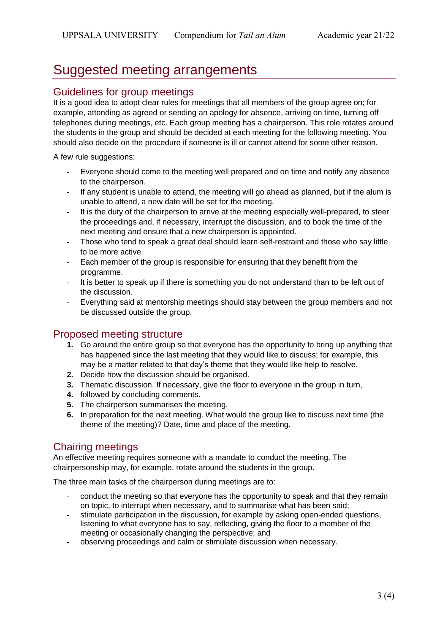# <span id="page-2-0"></span>Suggested meeting arrangements

## <span id="page-2-1"></span>Guidelines for group meetings

It is a good idea to adopt clear rules for meetings that all members of the group agree on; for example, attending as agreed or sending an apology for absence, arriving on time, turning off telephones during meetings, etc. Each group meeting has a chairperson. This role rotates around the students in the group and should be decided at each meeting for the following meeting. You should also decide on the procedure if someone is ill or cannot attend for some other reason.

A few rule suggestions:

- Everyone should come to the meeting well prepared and on time and notify any absence to the chairperson.
- If any student is unable to attend, the meeting will go ahead as planned, but if the alum is unable to attend, a new date will be set for the meeting.
- It is the duty of the chairperson to arrive at the meeting especially well-prepared, to steer the proceedings and, if necessary, interrupt the discussion, and to book the time of the next meeting and ensure that a new chairperson is appointed.
- Those who tend to speak a great deal should learn self-restraint and those who say little to be more active.
- Each member of the group is responsible for ensuring that they benefit from the programme.
- It is better to speak up if there is something you do not understand than to be left out of the discussion.
- Everything said at mentorship meetings should stay between the group members and not be discussed outside the group.

## <span id="page-2-2"></span>Proposed meeting structure

- **1.** Go around the entire group so that everyone has the opportunity to bring up anything that has happened since the last meeting that they would like to discuss; for example, this may be a matter related to that day's theme that they would like help to resolve.
- **2.** Decide how the discussion should be organised.
- **3.** Thematic discussion. If necessary, give the floor to everyone in the group in turn,
- **4.** followed by concluding comments.
- **5.** The chairperson summarises the meeting.
- **6.** In preparation for the next meeting. What would the group like to discuss next time (the theme of the meeting)? Date, time and place of the meeting.

## <span id="page-2-3"></span>Chairing meetings

An effective meeting requires someone with a mandate to conduct the meeting. The chairpersonship may, for example, rotate around the students in the group.

The three main tasks of the chairperson during meetings are to:

- conduct the meeting so that everyone has the opportunity to speak and that they remain on topic, to interrupt when necessary, and to summarise what has been said;
- stimulate participation in the discussion, for example by asking open-ended questions, listening to what everyone has to say, reflecting, giving the floor to a member of the meeting or occasionally changing the perspective; and
- observing proceedings and calm or stimulate discussion when necessary.